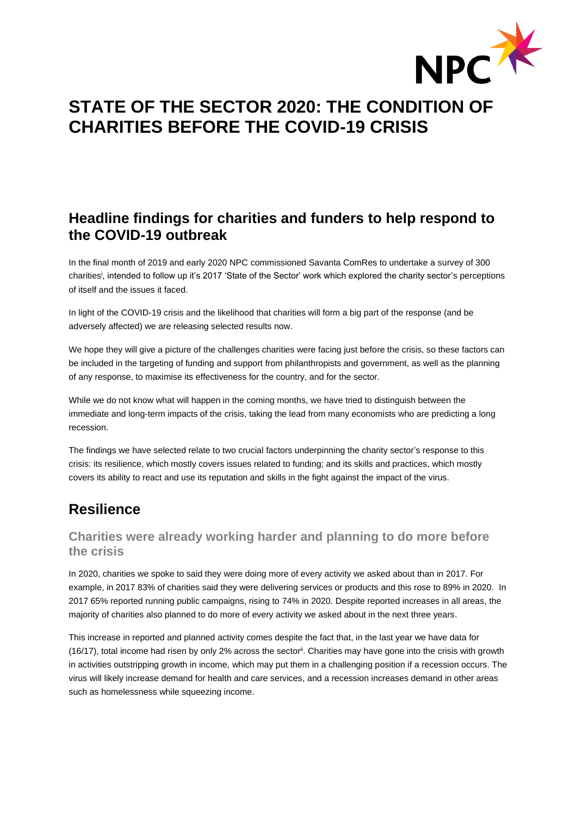

# **STATE OF THE SECTOR 2020: THE CONDITION OF CHARITIES BEFORE THE COVID-19 CRISIS**

## **Headline findings for charities and funders to help respond to the COVID-19 outbreak**

In the final month of 2019 and early 2020 NPC commissioned Savanta ComRes to undertake a survey of 300 charities<sup>i</sup> , intended to follow up it's 2017 'State of the Sector' work which explored the charity sector's perceptions of itself and the issues it faced.

In light of the COVID-19 crisis and the likelihood that charities will form a big part of the response (and be adversely affected) we are releasing selected results now.

We hope they will give a picture of the challenges charities were facing just before the crisis, so these factors can be included in the targeting of funding and support from philanthropists and government, as well as the planning of any response, to maximise its effectiveness for the country, and for the sector.

While we do not know what will happen in the coming months, we have tried to distinguish between the immediate and long-term impacts of the crisis, taking the lead from many economists who are predicting a long recession.

The findings we have selected relate to two crucial factors underpinning the charity sector's response to this crisis: its resilience, which mostly covers issues related to funding; and its skills and practices, which mostly covers its ability to react and use its reputation and skills in the fight against the impact of the virus.

# **Resilience**

### **Charities were already working harder and planning to do more before the crisis**

In 2020, charities we spoke to said they were doing more of every activity we asked about than in 2017. For example, in 2017 83% of charities said they were delivering services or products and this rose to 89% in 2020. In 2017 65% reported running public campaigns, rising to 74% in 2020. Despite reported increases in all areas, the majority of charities also planned to do more of every activity we asked about in the next three years.

This increase in reported and planned activity comes despite the fact that, in the last year we have data for (16/17), total income had risen by only 2% across the sector<sup>ii</sup>. Charities may have gone into the crisis with growth in activities outstripping growth in income, which may put them in a challenging position if a recession occurs. The virus will likely increase demand for health and care services, and a recession increases demand in other areas such as homelessness while squeezing income.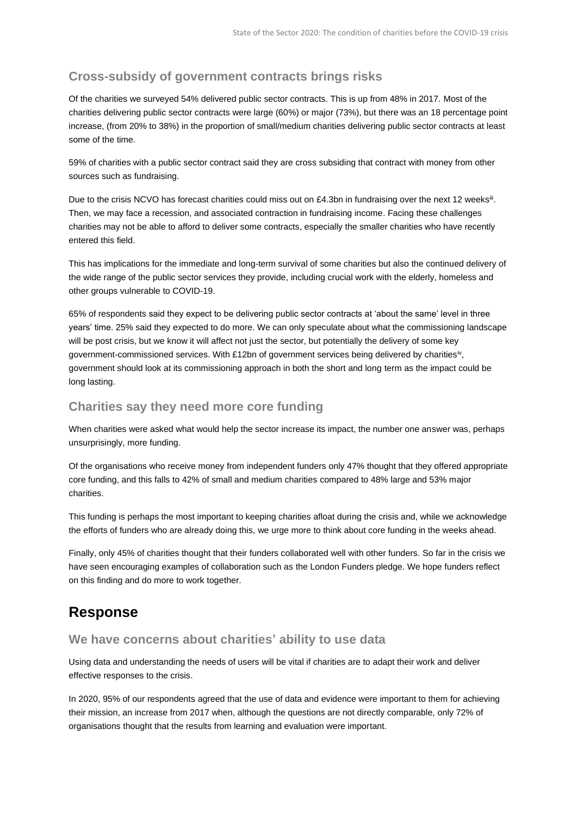### **Cross-subsidy of government contracts brings risks**

Of the charities we surveyed 54% delivered public sector contracts. This is up from 48% in 2017. Most of the charities delivering public sector contracts were large (60%) or major (73%), but there was an 18 percentage point increase, (from 20% to 38%) in the proportion of small/medium charities delivering public sector contracts at least some of the time.

59% of charities with a public sector contract said they are cross subsiding that contract with money from other sources such as fundraising.

Due to the crisis NCVO has forecast charities could miss out on £4.3bn in fundraising over the next 12 weeks<sup>iii</sup>. Then, we may face a recession, and associated contraction in fundraising income. Facing these challenges charities may not be able to afford to deliver some contracts, especially the smaller charities who have recently entered this field.

This has implications for the immediate and long-term survival of some charities but also the continued delivery of the wide range of the public sector services they provide, including crucial work with the elderly, homeless and other groups vulnerable to COVID-19.

65% of respondents said they expect to be delivering public sector contracts at 'about the same' level in three years' time. 25% said they expected to do more. We can only speculate about what the commissioning landscape will be post crisis, but we know it will affect not just the sector, but potentially the delivery of some key government-commissioned services. With £12bn of government services being delivered by charities<sup>iv</sup>, government should look at its commissioning approach in both the short and long term as the impact could be long lasting.

### **Charities say they need more core funding**

When charities were asked what would help the sector increase its impact, the number one answer was, perhaps unsurprisingly, more funding.

Of the organisations who receive money from independent funders only 47% thought that they offered appropriate core funding, and this falls to 42% of small and medium charities compared to 48% large and 53% major charities.

This funding is perhaps the most important to keeping charities afloat during the crisis and, while we acknowledge the efforts of funders who are already doing this, we urge more to think about core funding in the weeks ahead.

Finally, only 45% of charities thought that their funders collaborated well with other funders. So far in the crisis we have seen encouraging examples of collaboration such as the London Funders pledge. We hope funders reflect on this finding and do more to work together.

### **Response**

### **We have concerns about charities' ability to use data**

Using data and understanding the needs of users will be vital if charities are to adapt their work and deliver effective responses to the crisis.

In 2020, 95% of our respondents agreed that the use of data and evidence were important to them for achieving their mission, an increase from 2017 when, although the questions are not directly comparable, only 72% of organisations thought that the results from learning and evaluation were important.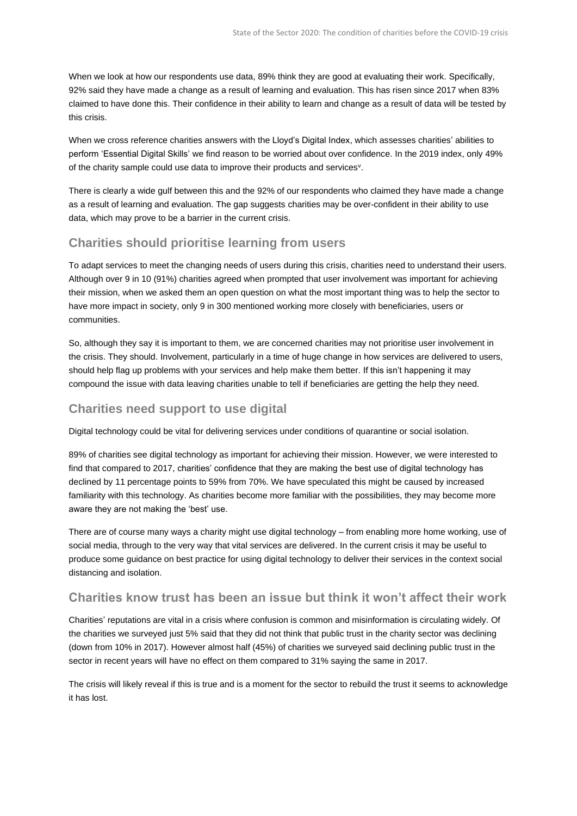When we look at how our respondents use data, 89% think they are good at evaluating their work. Specifically, 92% said they have made a change as a result of learning and evaluation. This has risen since 2017 when 83% claimed to have done this. Their confidence in their ability to learn and change as a result of data will be tested by this crisis.

When we cross reference charities answers with the Lloyd's Digital Index, which assesses charities' abilities to perform 'Essential Digital Skills' we find reason to be worried about over confidence. In the 2019 index, only 49% of the charity sample could use data to improve their products and services<sup>v</sup>.

There is clearly a wide gulf between this and the 92% of our respondents who claimed they have made a change as a result of learning and evaluation. The gap suggests charities may be over-confident in their ability to use data, which may prove to be a barrier in the current crisis.

### **Charities should prioritise learning from users**

To adapt services to meet the changing needs of users during this crisis, charities need to understand their users. Although over 9 in 10 (91%) charities agreed when prompted that user involvement was important for achieving their mission, when we asked them an open question on what the most important thing was to help the sector to have more impact in society, only 9 in 300 mentioned working more closely with beneficiaries, users or communities.

So, although they say it is important to them, we are concerned charities may not prioritise user involvement in the crisis. They should. Involvement, particularly in a time of huge change in how services are delivered to users, should help flag up problems with your services and help make them better. If this isn't happening it may compound the issue with data leaving charities unable to tell if beneficiaries are getting the help they need.

### **Charities need support to use digital**

Digital technology could be vital for delivering services under conditions of quarantine or social isolation.

89% of charities see digital technology as important for achieving their mission. However, we were interested to find that compared to 2017, charities' confidence that they are making the best use of digital technology has declined by 11 percentage points to 59% from 70%. We have speculated this might be caused by increased familiarity with this technology. As charities become more familiar with the possibilities, they may become more aware they are not making the 'best' use.

There are of course many ways a charity might use digital technology – from enabling more home working, use of social media, through to the very way that vital services are delivered. In the current crisis it may be useful to produce some guidance on best practice for using digital technology to deliver their services in the context social distancing and isolation.

### **Charities know trust has been an issue but think it won't affect their work**

Charities' reputations are vital in a crisis where confusion is common and misinformation is circulating widely. Of the charities we surveyed just 5% said that they did not think that public trust in the charity sector was declining (down from 10% in 2017). However almost half (45%) of charities we surveyed said declining public trust in the sector in recent years will have no effect on them compared to 31% saying the same in 2017.

The crisis will likely reveal if this is true and is a moment for the sector to rebuild the trust it seems to acknowledge it has lost.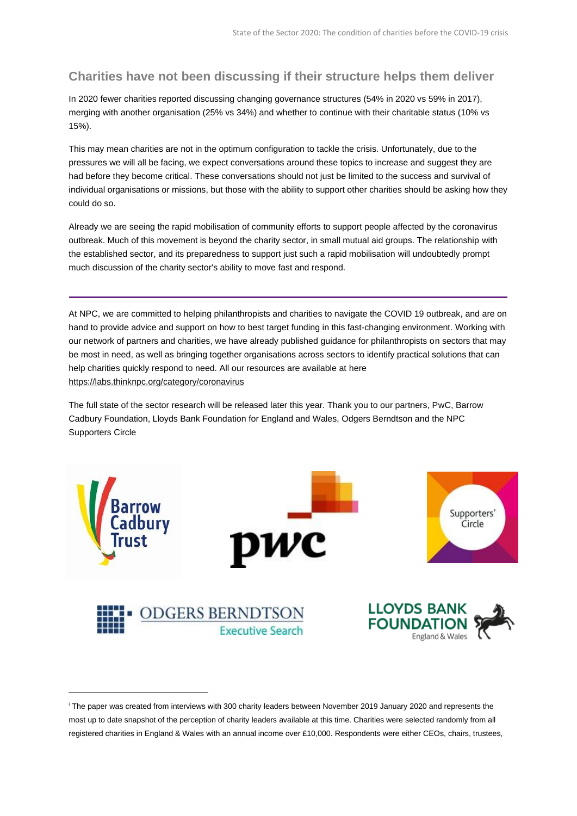### **Charities have not been discussing if their structure helps them deliver**

In 2020 fewer charities reported discussing changing governance structures (54% in 2020 vs 59% in 2017), merging with another organisation (25% vs 34%) and whether to continue with their charitable status (10% vs 15%).

This may mean charities are not in the optimum configuration to tackle the crisis. Unfortunately, due to the pressures we will all be facing, we expect conversations around these topics to increase and suggest they are had before they become critical. These conversations should not just be limited to the success and survival of individual organisations or missions, but those with the ability to support other charities should be asking how they could do so.

Already we are seeing the rapid mobilisation of community efforts to support people affected by the coronavirus outbreak. Much of this movement is beyond the charity sector, in small mutual aid groups. The relationship with the established sector, and its preparedness to support just such a rapid mobilisation will undoubtedly prompt much discussion of the charity sector's ability to move fast and respond.

At NPC, we are committed to helping philanthropists and charities to navigate the COVID 19 outbreak, and are on hand to provide advice and support on how to best target funding in this fast-changing environment. Working with our network of partners and charities, we have already published guidance for philanthropists on sectors that may be most in need, as well as bringing together organisations across sectors to identify practical solutions that can help charities quickly respond to need. All our resources are available at here <https://labs.thinknpc.org/category/coronavirus>

The full state of the sector research will be released later this year. Thank you to our partners, PwC, Barrow Cadbury Foundation, Lloyds Bank Foundation for England and Wales, Odgers Berndtson and the NPC Supporters Circle



<sup>i</sup> The paper was created from interviews with 300 charity leaders between November 2019 January 2020 and represents the most up to date snapshot of the perception of charity leaders available at this time. Charities were selected randomly from all registered charities in England & Wales with an annual income over £10,000. Respondents were either CEOs, chairs, trustees,